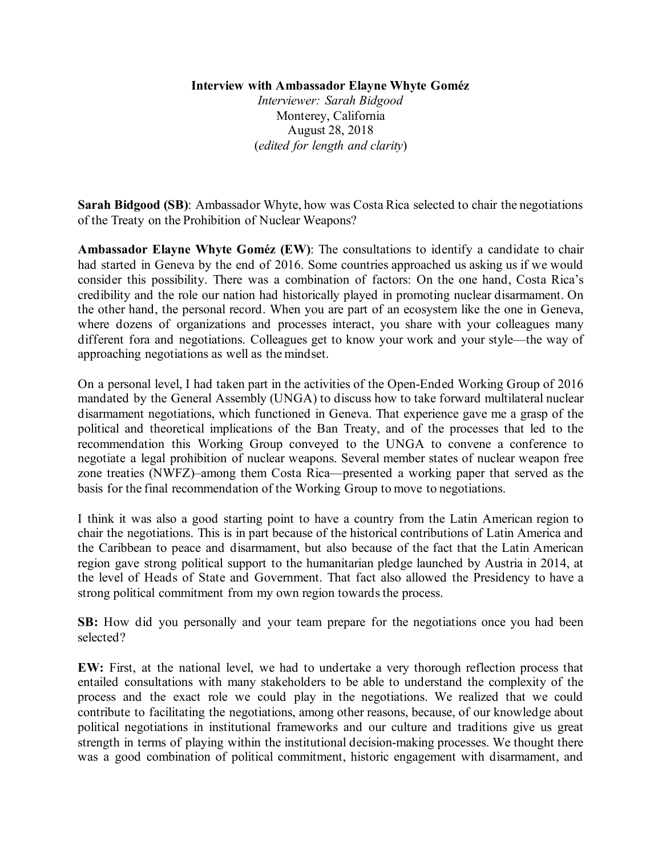## **Interview with Ambassador Elayne Whyte Goméz**

*Interviewer: Sarah Bidgood* Monterey, California August 28, 2018 (*edited for length and clarity*)

**Sarah Bidgood (SB)**: Ambassador Whyte, how was Costa Rica selected to chair the negotiations of the Treaty on the Prohibition of Nuclear Weapons?

**Ambassador Elayne Whyte Goméz (EW)**: The consultations to identify a candidate to chair had started in Geneva by the end of 2016. Some countries approached us asking us if we would consider this possibility. There was a combination of factors: On the one hand, Costa Rica's credibility and the role our nation had historically played in promoting nuclear disarmament. On the other hand, the personal record. When you are part of an ecosystem like the one in Geneva, where dozens of organizations and processes interact, you share with your colleagues many different fora and negotiations. Colleagues get to know your work and your style—the way of approaching negotiations as well as the mindset.

On a personal level, I had taken part in the activities of the Open-Ended Working Group of 2016 mandated by the General Assembly (UNGA) to discuss how to take forward multilateral nuclear disarmament negotiations, which functioned in Geneva. That experience gave me a grasp of the political and theoretical implications of the Ban Treaty, and of the processes that led to the recommendation this Working Group conveyed to the UNGA to convene a conference to negotiate a legal prohibition of nuclear weapons. Several member states of nuclear weapon free zone treaties (NWFZ)–among them Costa Rica—presented a working paper that served as the basis for the final recommendation of the Working Group to move to negotiations.

I think it was also a good starting point to have a country from the Latin American region to chair the negotiations. This is in part because of the historical contributions of Latin America and the Caribbean to peace and disarmament, but also because of the fact that the Latin American region gave strong political support to the humanitarian pledge launched by Austria in 2014, at the level of Heads of State and Government. That fact also allowed the Presidency to have a strong political commitment from my own region towards the process.

**SB:** How did you personally and your team prepare for the negotiations once you had been selected?

**EW:** First, at the national level, we had to undertake a very thorough reflection process that entailed consultations with many stakeholders to be able to understand the complexity of the process and the exact role we could play in the negotiations. We realized that we could contribute to facilitating the negotiations, among other reasons, because, of our knowledge about political negotiations in institutional frameworks and our culture and traditions give us great strength in terms of playing within the institutional decision-making processes. We thought there was a good combination of political commitment, historic engagement with disarmament, and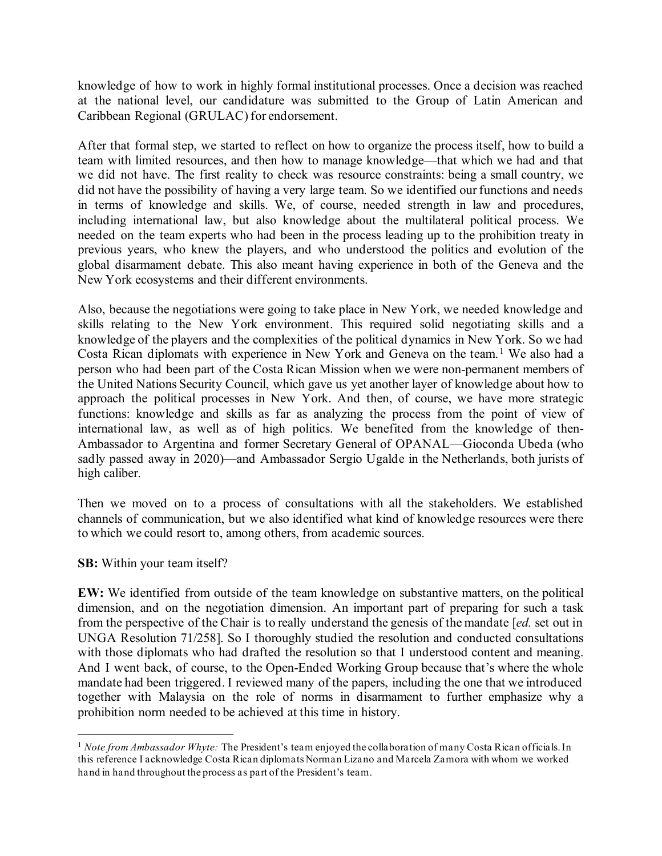knowledge of how to work in highly formal institutional processes. Once a decision was reached at the national level, our candidature was submitted to the Group of Latin American and Caribbean Regional (GRULAC) for endorsement.

After that formal step, we started to reflect on how to organize the process itself, how to build a team with limited resources, and then how to manage knowledge—that which we had and that we did not have. The first reality to check was resource constraints: being a small country, we did not have the possibility of having a very large team. So we identified our functions and needs in terms of knowledge and skills. We, of course, needed strength in law and procedures, including international law, but also knowledge about the multilateral political process. We needed on the team experts who had been in the process leading up to the prohibition treaty in previous years, who knew the players, and who understood the politics and evolution of the global disarmament debate. This also meant having experience in both of the Geneva and the New York ecosystems and their different environments.

Also, because the negotiations were going to take place in New York, we needed knowledge and skills relating to the New York environment. This required solid negotiating skills and a knowledge of the players and the complexities of the political dynamics in New York. So we had Costa Rican diplomats with experience in New York and Geneva on the team.<sup>[1](#page-1-0)</sup> We also had a person who had been part of the Costa Rican Mission when we were non-permanent members of the United Nations Security Council, which gave us yet another layer of knowledge about how to approach the political processes in New York. And then, of course, we have more strategic functions: knowledge and skills as far as analyzing the process from the point of view of international law, as well as of high politics. We benefited from the knowledge of then-Ambassador to Argentina and former Secretary General of OPANAL—Gioconda Ubeda (who sadly passed away in 2020)—and Ambassador Sergio Ugalde in the Netherlands, both jurists of high caliber.

Then we moved on to a process of consultations with all the stakeholders. We established channels of communication, but we also identified what kind of knowledge resources were there to which we could resort to, among others, from academic sources.

## **SB:** Within your team itself?

**EW:** We identified from outside of the team knowledge on substantive matters, on the political dimension, and on the negotiation dimension. An important part of preparing for such a task from the perspective of the Chair is to really understand the genesis of the mandate [*ed.* set out in UNGA Resolution 71/258]. So I thoroughly studied the resolution and conducted consultations with those diplomats who had drafted the resolution so that I understood content and meaning. And I went back, of course, to the Open-Ended Working Group because that's where the whole mandate had been triggered. I reviewed many of the papers, including the one that we introduced together with Malaysia on the role of norms in disarmament to further emphasize why a prohibition norm needed to be achieved at this time in history.

<span id="page-1-0"></span><sup>1</sup> *Note from Ambassador Whyte:* The President's team enjoyed the collaboration of many Costa Rican officials. In this reference I acknowledge Costa Rican diplomats Norman Lizano and Marcela Zamora with whom we worked hand in hand throughout the process as part of the President's team.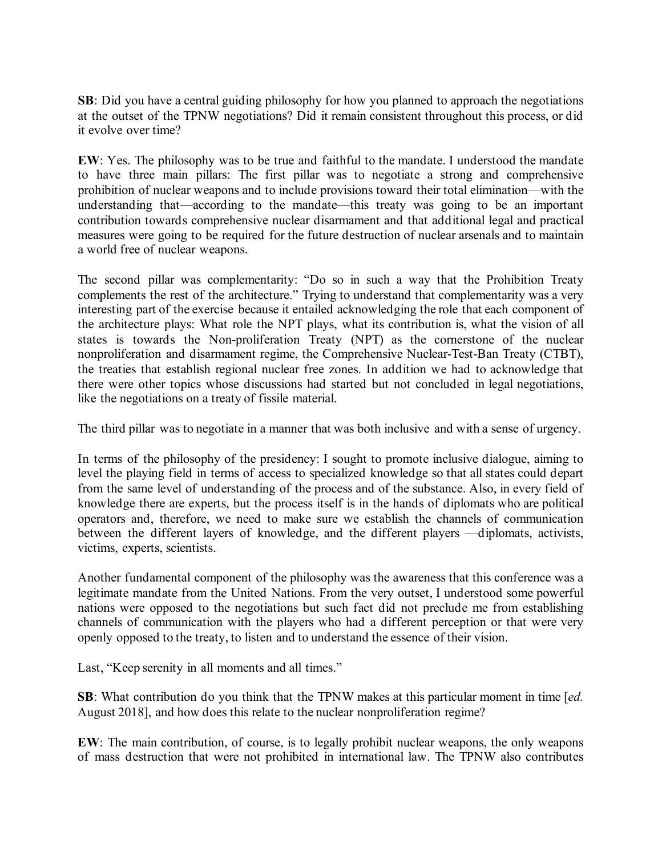**SB**: Did you have a central guiding philosophy for how you planned to approach the negotiations at the outset of the TPNW negotiations? Did it remain consistent throughout this process, or did it evolve over time?

**EW**: Yes. The philosophy was to be true and faithful to the mandate. I understood the mandate to have three main pillars: The first pillar was to negotiate a strong and comprehensive prohibition of nuclear weapons and to include provisions toward their total elimination—with the understanding that—according to the mandate—this treaty was going to be an important contribution towards comprehensive nuclear disarmament and that additional legal and practical measures were going to be required for the future destruction of nuclear arsenals and to maintain a world free of nuclear weapons.

The second pillar was complementarity: "Do so in such a way that the Prohibition Treaty complements the rest of the architecture." Trying to understand that complementarity was a very interesting part of the exercise because it entailed acknowledging the role that each component of the architecture plays: What role the NPT plays, what its contribution is, what the vision of all states is towards the Non-proliferation Treaty (NPT) as the cornerstone of the nuclear nonproliferation and disarmament regime, the Comprehensive Nuclear-Test-Ban Treaty (CTBT), the treaties that establish regional nuclear free zones. In addition we had to acknowledge that there were other topics whose discussions had started but not concluded in legal negotiations, like the negotiations on a treaty of fissile material.

The third pillar was to negotiate in a manner that was both inclusive and with a sense of urgency.

In terms of the philosophy of the presidency: I sought to promote inclusive dialogue, aiming to level the playing field in terms of access to specialized knowledge so that all states could depart from the same level of understanding of the process and of the substance. Also, in every field of knowledge there are experts, but the process itself is in the hands of diplomats who are political operators and, therefore, we need to make sure we establish the channels of communication between the different layers of knowledge, and the different players —diplomats, activists, victims, experts, scientists.

Another fundamental component of the philosophy was the awareness that this conference was a legitimate mandate from the United Nations. From the very outset, I understood some powerful nations were opposed to the negotiations but such fact did not preclude me from establishing channels of communication with the players who had a different perception or that were very openly opposed to the treaty, to listen and to understand the essence of their vision.

Last, "Keep serenity in all moments and all times."

**SB**: What contribution do you think that the TPNW makes at this particular moment in time [*ed.*  August 2018], and how does this relate to the nuclear nonproliferation regime?

**EW**: The main contribution, of course, is to legally prohibit nuclear weapons, the only weapons of mass destruction that were not prohibited in international law. The TPNW also contributes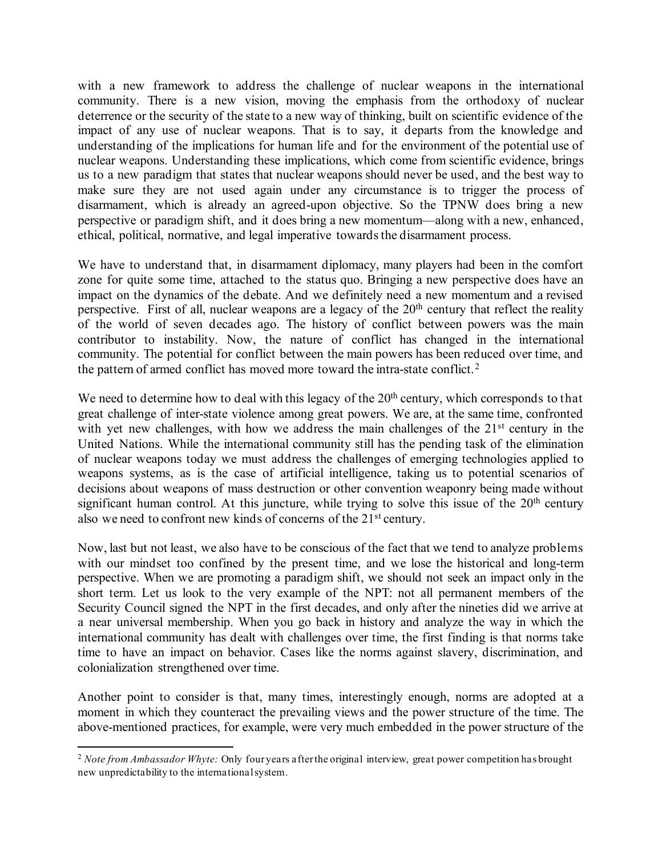with a new framework to address the challenge of nuclear weapons in the international community. There is a new vision, moving the emphasis from the orthodoxy of nuclear deterrence or the security of the state to a new way of thinking, built on scientific evidence of the impact of any use of nuclear weapons. That is to say, it departs from the knowledge and understanding of the implications for human life and for the environment of the potential use of nuclear weapons. Understanding these implications, which come from scientific evidence, brings us to a new paradigm that states that nuclear weapons should never be used, and the best way to make sure they are not used again under any circumstance is to trigger the process of disarmament, which is already an agreed-upon objective. So the TPNW does bring a new perspective or paradigm shift, and it does bring a new momentum—along with a new, enhanced, ethical, political, normative, and legal imperative towards the disarmament process.

We have to understand that, in disarmament diplomacy, many players had been in the comfort zone for quite some time, attached to the status quo. Bringing a new perspective does have an impact on the dynamics of the debate. And we definitely need a new momentum and a revised perspective. First of all, nuclear weapons are a legacy of the  $20<sup>th</sup>$  century that reflect the reality of the world of seven decades ago. The history of conflict between powers was the main contributor to instability. Now, the nature of conflict has changed in the international community. The potential for conflict between the main powers has been reduced over time, and the pattern of armed conflict has moved more toward the intra-state conflict.<sup>[2](#page-3-0)</sup>

We need to determine how to deal with this legacy of the  $20<sup>th</sup>$  century, which corresponds to that great challenge of inter-state violence among great powers. We are, at the same time, confronted with yet new challenges, with how we address the main challenges of the 21<sup>st</sup> century in the United Nations. While the international community still has the pending task of the elimination of nuclear weapons today we must address the challenges of emerging technologies applied to weapons systems, as is the case of artificial intelligence, taking us to potential scenarios of decisions about weapons of mass destruction or other convention weaponry being made without significant human control. At this juncture, while trying to solve this issue of the  $20<sup>th</sup>$  century also we need to confront new kinds of concerns of the 21st century.

Now, last but not least, we also have to be conscious of the fact that we tend to analyze problems with our mindset too confined by the present time, and we lose the historical and long-term perspective. When we are promoting a paradigm shift, we should not seek an impact only in the short term. Let us look to the very example of the NPT: not all permanent members of the Security Council signed the NPT in the first decades, and only after the nineties did we arrive at a near universal membership. When you go back in history and analyze the way in which the international community has dealt with challenges over time, the first finding is that norms take time to have an impact on behavior. Cases like the norms against slavery, discrimination, and colonialization strengthened over time.

Another point to consider is that, many times, interestingly enough, norms are adopted at a moment in which they counteract the prevailing views and the power structure of the time. The above-mentioned practices, for example, were very much embedded in the power structure of the

<span id="page-3-0"></span><sup>2</sup> *Note from Ambassador Whyte:* Only four years after the original interview, great power competition has brought new unpredictability to the international system.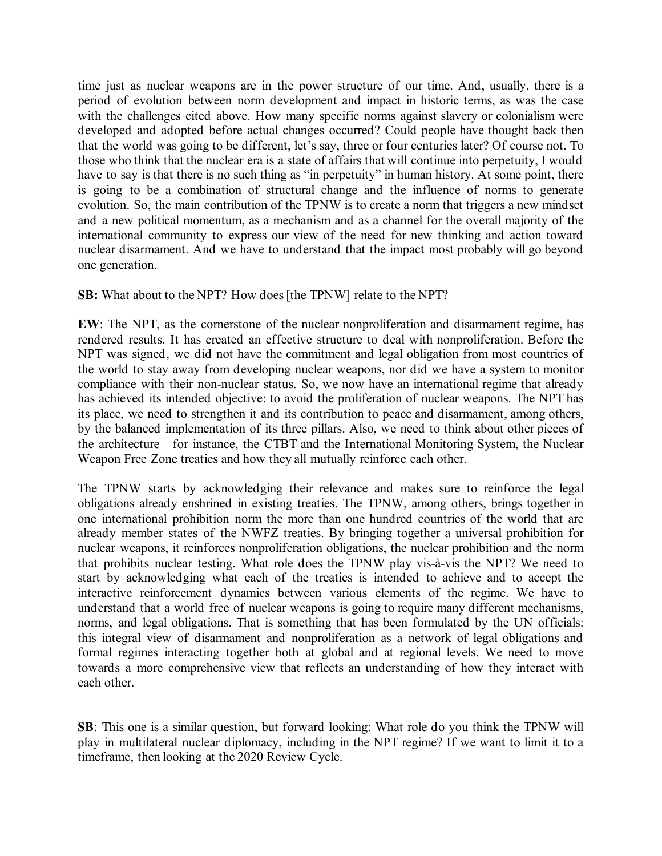time just as nuclear weapons are in the power structure of our time. And, usually, there is a period of evolution between norm development and impact in historic terms, as was the case with the challenges cited above. How many specific norms against slavery or colonialism were developed and adopted before actual changes occurred? Could people have thought back then that the world was going to be different, let's say, three or four centuries later? Of course not. To those who think that the nuclear era is a state of affairs that will continue into perpetuity, I would have to say is that there is no such thing as "in perpetuity" in human history. At some point, there is going to be a combination of structural change and the influence of norms to generate evolution. So, the main contribution of the TPNW is to create a norm that triggers a new mindset and a new political momentum, as a mechanism and as a channel for the overall majority of the international community to express our view of the need for new thinking and action toward nuclear disarmament. And we have to understand that the impact most probably will go beyond one generation.

## **SB:** What about to the NPT? How does [the TPNW] relate to the NPT?

**EW**: The NPT, as the cornerstone of the nuclear nonproliferation and disarmament regime, has rendered results. It has created an effective structure to deal with nonproliferation. Before the NPT was signed, we did not have the commitment and legal obligation from most countries of the world to stay away from developing nuclear weapons, nor did we have a system to monitor compliance with their non-nuclear status. So, we now have an international regime that already has achieved its intended objective: to avoid the proliferation of nuclear weapons. The NPT has its place, we need to strengthen it and its contribution to peace and disarmament, among others, by the balanced implementation of its three pillars. Also, we need to think about other pieces of the architecture—for instance, the CTBT and the International Monitoring System, the Nuclear Weapon Free Zone treaties and how they all mutually reinforce each other.

The TPNW starts by acknowledging their relevance and makes sure to reinforce the legal obligations already enshrined in existing treaties. The TPNW, among others, brings together in one international prohibition norm the more than one hundred countries of the world that are already member states of the NWFZ treaties. By bringing together a universal prohibition for nuclear weapons, it reinforces nonproliferation obligations, the nuclear prohibition and the norm that prohibits nuclear testing. What role does the TPNW play vis-à-vis the NPT? We need to start by acknowledging what each of the treaties is intended to achieve and to accept the interactive reinforcement dynamics between various elements of the regime. We have to understand that a world free of nuclear weapons is going to require many different mechanisms, norms, and legal obligations. That is something that has been formulated by the UN officials: this integral view of disarmament and nonproliferation as a network of legal obligations and formal regimes interacting together both at global and at regional levels. We need to move towards a more comprehensive view that reflects an understanding of how they interact with each other.

**SB**: This one is a similar question, but forward looking: What role do you think the TPNW will play in multilateral nuclear diplomacy, including in the NPT regime? If we want to limit it to a timeframe, then looking at the 2020 Review Cycle.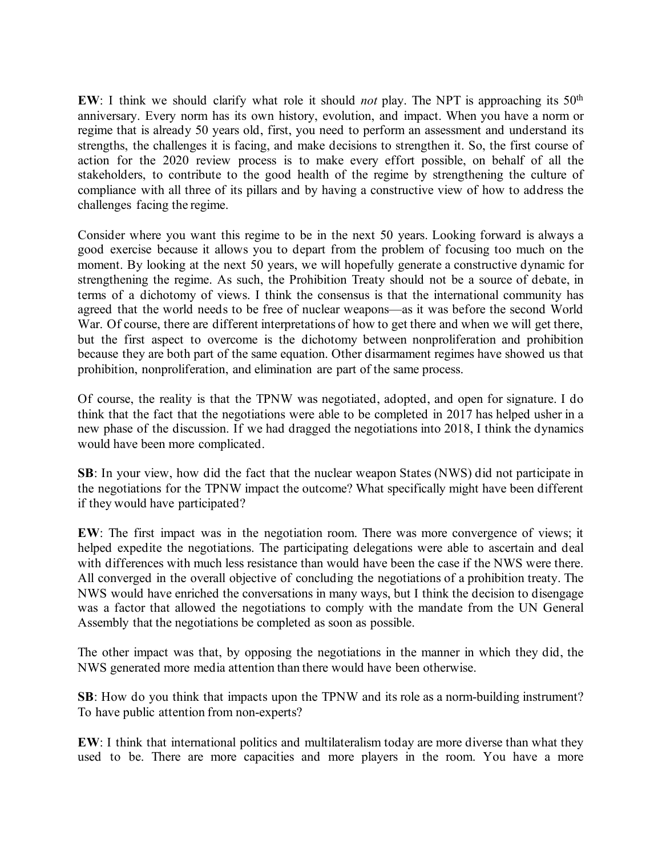**EW**: I think we should clarify what role it should *not* play. The NPT is approaching its 50<sup>th</sup> anniversary. Every norm has its own history, evolution, and impact. When you have a norm or regime that is already 50 years old, first, you need to perform an assessment and understand its strengths, the challenges it is facing, and make decisions to strengthen it. So, the first course of action for the 2020 review process is to make every effort possible, on behalf of all the stakeholders, to contribute to the good health of the regime by strengthening the culture of compliance with all three of its pillars and by having a constructive view of how to address the challenges facing the regime.

Consider where you want this regime to be in the next 50 years. Looking forward is always a good exercise because it allows you to depart from the problem of focusing too much on the moment. By looking at the next 50 years, we will hopefully generate a constructive dynamic for strengthening the regime. As such, the Prohibition Treaty should not be a source of debate, in terms of a dichotomy of views. I think the consensus is that the international community has agreed that the world needs to be free of nuclear weapons—as it was before the second World War. Of course, there are different interpretations of how to get there and when we will get there, but the first aspect to overcome is the dichotomy between nonproliferation and prohibition because they are both part of the same equation. Other disarmament regimes have showed us that prohibition, nonproliferation, and elimination are part of the same process.

Of course, the reality is that the TPNW was negotiated, adopted, and open for signature. I do think that the fact that the negotiations were able to be completed in 2017 has helped usher in a new phase of the discussion. If we had dragged the negotiations into 2018, I think the dynamics would have been more complicated.

**SB**: In your view, how did the fact that the nuclear weapon States (NWS) did not participate in the negotiations for the TPNW impact the outcome? What specifically might have been different if they would have participated?

**EW**: The first impact was in the negotiation room. There was more convergence of views; it helped expedite the negotiations. The participating delegations were able to ascertain and deal with differences with much less resistance than would have been the case if the NWS were there. All converged in the overall objective of concluding the negotiations of a prohibition treaty. The NWS would have enriched the conversations in many ways, but I think the decision to disengage was a factor that allowed the negotiations to comply with the mandate from the UN General Assembly that the negotiations be completed as soon as possible.

The other impact was that, by opposing the negotiations in the manner in which they did, the NWS generated more media attention than there would have been otherwise.

**SB**: How do you think that impacts upon the TPNW and its role as a norm-building instrument? To have public attention from non-experts?

**EW**: I think that international politics and multilateralism today are more diverse than what they used to be. There are more capacities and more players in the room. You have a more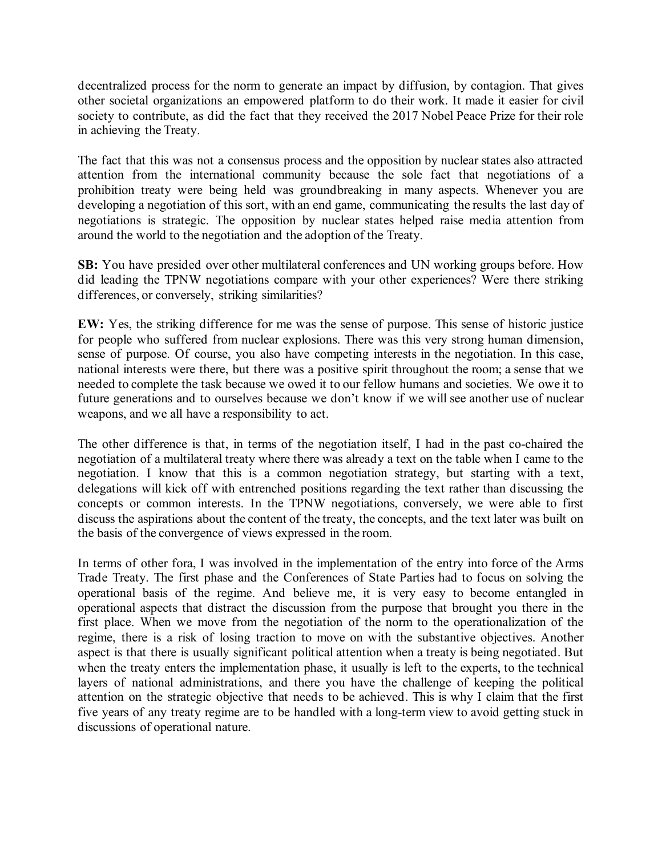decentralized process for the norm to generate an impact by diffusion, by contagion. That gives other societal organizations an empowered platform to do their work. It made it easier for civil society to contribute, as did the fact that they received the 2017 Nobel Peace Prize for their role in achieving the Treaty.

The fact that this was not a consensus process and the opposition by nuclear states also attracted attention from the international community because the sole fact that negotiations of a prohibition treaty were being held was groundbreaking in many aspects. Whenever you are developing a negotiation of this sort, with an end game, communicating the results the last day of negotiations is strategic. The opposition by nuclear states helped raise media attention from around the world to the negotiation and the adoption of the Treaty.

**SB:** You have presided over other multilateral conferences and UN working groups before. How did leading the TPNW negotiations compare with your other experiences? Were there striking differences, or conversely, striking similarities?

**EW:** Yes, the striking difference for me was the sense of purpose. This sense of historic justice for people who suffered from nuclear explosions. There was this very strong human dimension, sense of purpose. Of course, you also have competing interests in the negotiation. In this case, national interests were there, but there was a positive spirit throughout the room; a sense that we needed to complete the task because we owed it to our fellow humans and societies. We owe it to future generations and to ourselves because we don't know if we will see another use of nuclear weapons, and we all have a responsibility to act.

The other difference is that, in terms of the negotiation itself, I had in the past co-chaired the negotiation of a multilateral treaty where there was already a text on the table when I came to the negotiation. I know that this is a common negotiation strategy, but starting with a text, delegations will kick off with entrenched positions regarding the text rather than discussing the concepts or common interests. In the TPNW negotiations, conversely, we were able to first discuss the aspirations about the content of the treaty, the concepts, and the text later was built on the basis of the convergence of views expressed in the room.

In terms of other fora, I was involved in the implementation of the entry into force of the Arms Trade Treaty. The first phase and the Conferences of State Parties had to focus on solving the operational basis of the regime. And believe me, it is very easy to become entangled in operational aspects that distract the discussion from the purpose that brought you there in the first place. When we move from the negotiation of the norm to the operationalization of the regime, there is a risk of losing traction to move on with the substantive objectives. Another aspect is that there is usually significant political attention when a treaty is being negotiated. But when the treaty enters the implementation phase, it usually is left to the experts, to the technical layers of national administrations, and there you have the challenge of keeping the political attention on the strategic objective that needs to be achieved. This is why I claim that the first five years of any treaty regime are to be handled with a long-term view to avoid getting stuck in discussions of operational nature.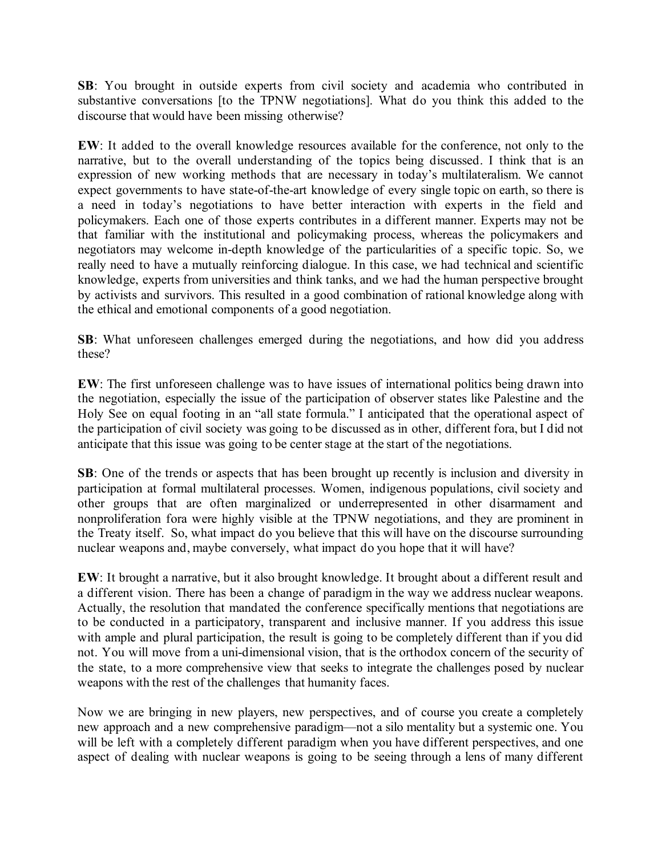**SB**: You brought in outside experts from civil society and academia who contributed in substantive conversations [to the TPNW negotiations]. What do you think this added to the discourse that would have been missing otherwise?

**EW**: It added to the overall knowledge resources available for the conference, not only to the narrative, but to the overall understanding of the topics being discussed. I think that is an expression of new working methods that are necessary in today's multilateralism. We cannot expect governments to have state-of-the-art knowledge of every single topic on earth, so there is a need in today's negotiations to have better interaction with experts in the field and policymakers. Each one of those experts contributes in a different manner. Experts may not be that familiar with the institutional and policymaking process, whereas the policymakers and negotiators may welcome in-depth knowledge of the particularities of a specific topic. So, we really need to have a mutually reinforcing dialogue. In this case, we had technical and scientific knowledge, experts from universities and think tanks, and we had the human perspective brought by activists and survivors. This resulted in a good combination of rational knowledge along with the ethical and emotional components of a good negotiation.

**SB**: What unforeseen challenges emerged during the negotiations, and how did you address these?

**EW**: The first unforeseen challenge was to have issues of international politics being drawn into the negotiation, especially the issue of the participation of observer states like Palestine and the Holy See on equal footing in an "all state formula." I anticipated that the operational aspect of the participation of civil society was going to be discussed as in other, different fora, but I did not anticipate that this issue was going to be center stage at the start of the negotiations.

**SB**: One of the trends or aspects that has been brought up recently is inclusion and diversity in participation at formal multilateral processes. Women, indigenous populations, civil society and other groups that are often marginalized or underrepresented in other disarmament and nonproliferation fora were highly visible at the TPNW negotiations, and they are prominent in the Treaty itself. So, what impact do you believe that this will have on the discourse surrounding nuclear weapons and, maybe conversely, what impact do you hope that it will have?

**EW**: It brought a narrative, but it also brought knowledge. It brought about a different result and a different vision. There has been a change of paradigm in the way we address nuclear weapons. Actually, the resolution that mandated the conference specifically mentions that negotiations are to be conducted in a participatory, transparent and inclusive manner. If you address this issue with ample and plural participation, the result is going to be completely different than if you did not. You will move from a uni-dimensional vision, that is the orthodox concern of the security of the state, to a more comprehensive view that seeks to integrate the challenges posed by nuclear weapons with the rest of the challenges that humanity faces.

Now we are bringing in new players, new perspectives, and of course you create a completely new approach and a new comprehensive paradigm—not a silo mentality but a systemic one. You will be left with a completely different paradigm when you have different perspectives, and one aspect of dealing with nuclear weapons is going to be seeing through a lens of many different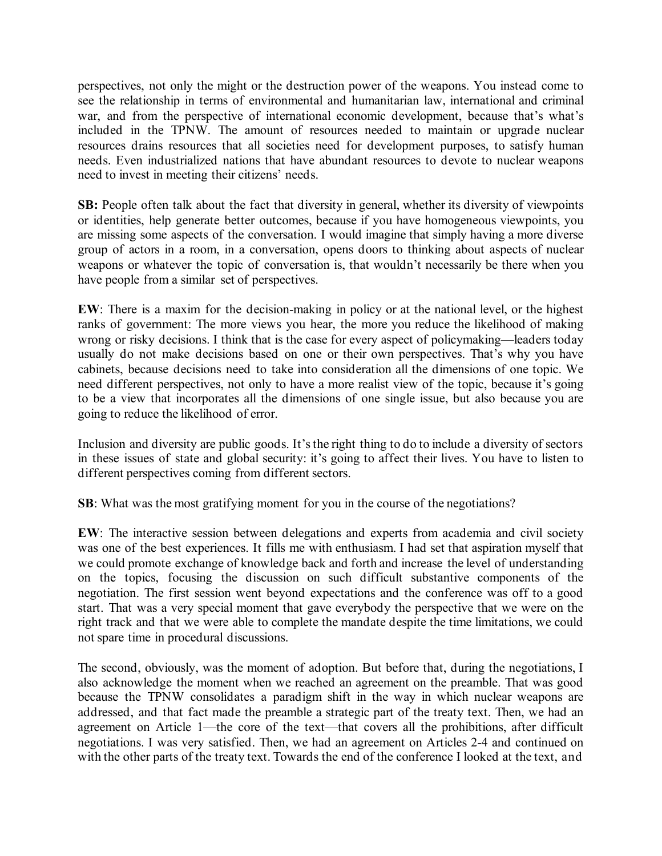perspectives, not only the might or the destruction power of the weapons. You instead come to see the relationship in terms of environmental and humanitarian law, international and criminal war, and from the perspective of international economic development, because that's what's included in the TPNW. The amount of resources needed to maintain or upgrade nuclear resources drains resources that all societies need for development purposes, to satisfy human needs. Even industrialized nations that have abundant resources to devote to nuclear weapons need to invest in meeting their citizens' needs.

**SB:** People often talk about the fact that diversity in general, whether its diversity of viewpoints or identities, help generate better outcomes, because if you have homogeneous viewpoints, you are missing some aspects of the conversation. I would imagine that simply having a more diverse group of actors in a room, in a conversation, opens doors to thinking about aspects of nuclear weapons or whatever the topic of conversation is, that wouldn't necessarily be there when you have people from a similar set of perspectives.

**EW**: There is a maxim for the decision-making in policy or at the national level, or the highest ranks of government: The more views you hear, the more you reduce the likelihood of making wrong or risky decisions. I think that is the case for every aspect of policymaking—leaders today usually do not make decisions based on one or their own perspectives. That's why you have cabinets, because decisions need to take into consideration all the dimensions of one topic. We need different perspectives, not only to have a more realist view of the topic, because it's going to be a view that incorporates all the dimensions of one single issue, but also because you are going to reduce the likelihood of error.

Inclusion and diversity are public goods. It's the right thing to do to include a diversity of sectors in these issues of state and global security: it's going to affect their lives. You have to listen to different perspectives coming from different sectors.

**SB**: What was the most gratifying moment for you in the course of the negotiations?

**EW**: The interactive session between delegations and experts from academia and civil society was one of the best experiences. It fills me with enthusiasm. I had set that aspiration myself that we could promote exchange of knowledge back and forth and increase the level of understanding on the topics, focusing the discussion on such difficult substantive components of the negotiation. The first session went beyond expectations and the conference was off to a good start. That was a very special moment that gave everybody the perspective that we were on the right track and that we were able to complete the mandate despite the time limitations, we could not spare time in procedural discussions.

The second, obviously, was the moment of adoption. But before that, during the negotiations, I also acknowledge the moment when we reached an agreement on the preamble. That was good because the TPNW consolidates a paradigm shift in the way in which nuclear weapons are addressed, and that fact made the preamble a strategic part of the treaty text. Then, we had an agreement on Article 1—the core of the text—that covers all the prohibitions, after difficult negotiations. I was very satisfied. Then, we had an agreement on Articles 2-4 and continued on with the other parts of the treaty text. Towards the end of the conference I looked at the text, and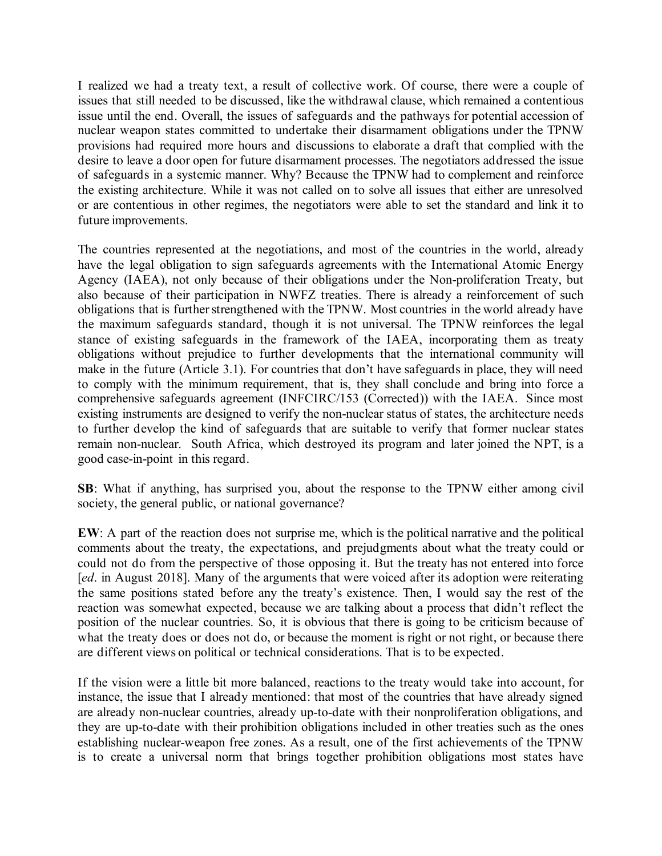I realized we had a treaty text, a result of collective work. Of course, there were a couple of issues that still needed to be discussed, like the withdrawal clause, which remained a contentious issue until the end. Overall, the issues of safeguards and the pathways for potential accession of nuclear weapon states committed to undertake their disarmament obligations under the TPNW provisions had required more hours and discussions to elaborate a draft that complied with the desire to leave a door open for future disarmament processes. The negotiators addressed the issue of safeguards in a systemic manner. Why? Because the TPNW had to complement and reinforce the existing architecture. While it was not called on to solve all issues that either are unresolved or are contentious in other regimes, the negotiators were able to set the standard and link it to future improvements.

The countries represented at the negotiations, and most of the countries in the world, already have the legal obligation to sign safeguards agreements with the International Atomic Energy Agency (IAEA), not only because of their obligations under the Non-proliferation Treaty, but also because of their participation in NWFZ treaties. There is already a reinforcement of such obligations that is further strengthened with the TPNW. Most countries in the world already have the maximum safeguards standard, though it is not universal. The TPNW reinforces the legal stance of existing safeguards in the framework of the IAEA, incorporating them as treaty obligations without prejudice to further developments that the international community will make in the future (Article 3.1). For countries that don't have safeguards in place, they will need to comply with the minimum requirement, that is, they shall conclude and bring into force a comprehensive safeguards agreement (INFCIRC/153 (Corrected)) with the IAEA. Since most existing instruments are designed to verify the non-nuclear status of states, the architecture needs to further develop the kind of safeguards that are suitable to verify that former nuclear states remain non-nuclear. South Africa, which destroyed its program and later joined the NPT, is a good case-in-point in this regard.

**SB**: What if anything, has surprised you, about the response to the TPNW either among civil society, the general public, or national governance?

**EW**: A part of the reaction does not surprise me, which is the political narrative and the political comments about the treaty, the expectations, and prejudgments about what the treaty could or could not do from the perspective of those opposing it. But the treaty has not entered into force [*ed*. in August 2018]. Many of the arguments that were voiced after its adoption were reiterating the same positions stated before any the treaty's existence. Then, I would say the rest of the reaction was somewhat expected, because we are talking about a process that didn't reflect the position of the nuclear countries. So, it is obvious that there is going to be criticism because of what the treaty does or does not do, or because the moment is right or not right, or because there are different views on political or technical considerations. That is to be expected.

If the vision were a little bit more balanced, reactions to the treaty would take into account, for instance, the issue that I already mentioned: that most of the countries that have already signed are already non-nuclear countries, already up-to-date with their nonproliferation obligations, and they are up-to-date with their prohibition obligations included in other treaties such as the ones establishing nuclear-weapon free zones. As a result, one of the first achievements of the TPNW is to create a universal norm that brings together prohibition obligations most states have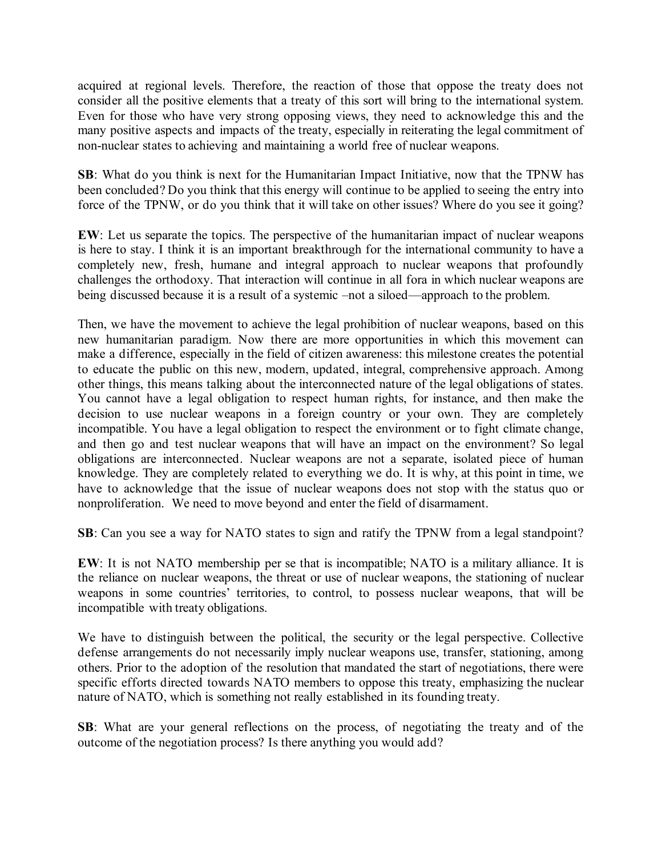acquired at regional levels. Therefore, the reaction of those that oppose the treaty does not consider all the positive elements that a treaty of this sort will bring to the international system. Even for those who have very strong opposing views, they need to acknowledge this and the many positive aspects and impacts of the treaty, especially in reiterating the legal commitment of non-nuclear states to achieving and maintaining a world free of nuclear weapons.

**SB**: What do you think is next for the Humanitarian Impact Initiative, now that the TPNW has been concluded? Do you think that this energy will continue to be applied to seeing the entry into force of the TPNW, or do you think that it will take on other issues? Where do you see it going?

**EW**: Let us separate the topics. The perspective of the humanitarian impact of nuclear weapons is here to stay. I think it is an important breakthrough for the international community to have a completely new, fresh, humane and integral approach to nuclear weapons that profoundly challenges the orthodoxy. That interaction will continue in all fora in which nuclear weapons are being discussed because it is a result of a systemic –not a siloed—approach to the problem.

Then, we have the movement to achieve the legal prohibition of nuclear weapons, based on this new humanitarian paradigm. Now there are more opportunities in which this movement can make a difference, especially in the field of citizen awareness: this milestone creates the potential to educate the public on this new, modern, updated, integral, comprehensive approach. Among other things, this means talking about the interconnected nature of the legal obligations of states. You cannot have a legal obligation to respect human rights, for instance, and then make the decision to use nuclear weapons in a foreign country or your own. They are completely incompatible. You have a legal obligation to respect the environment or to fight climate change, and then go and test nuclear weapons that will have an impact on the environment? So legal obligations are interconnected. Nuclear weapons are not a separate, isolated piece of human knowledge. They are completely related to everything we do. It is why, at this point in time, we have to acknowledge that the issue of nuclear weapons does not stop with the status quo or nonproliferation. We need to move beyond and enter the field of disarmament.

**SB**: Can you see a way for NATO states to sign and ratify the TPNW from a legal standpoint?

**EW**: It is not NATO membership per se that is incompatible; NATO is a military alliance. It is the reliance on nuclear weapons, the threat or use of nuclear weapons, the stationing of nuclear weapons in some countries' territories, to control, to possess nuclear weapons, that will be incompatible with treaty obligations.

We have to distinguish between the political, the security or the legal perspective. Collective defense arrangements do not necessarily imply nuclear weapons use, transfer, stationing, among others. Prior to the adoption of the resolution that mandated the start of negotiations, there were specific efforts directed towards NATO members to oppose this treaty, emphasizing the nuclear nature of NATO, which is something not really established in its founding treaty.

**SB**: What are your general reflections on the process, of negotiating the treaty and of the outcome of the negotiation process? Is there anything you would add?